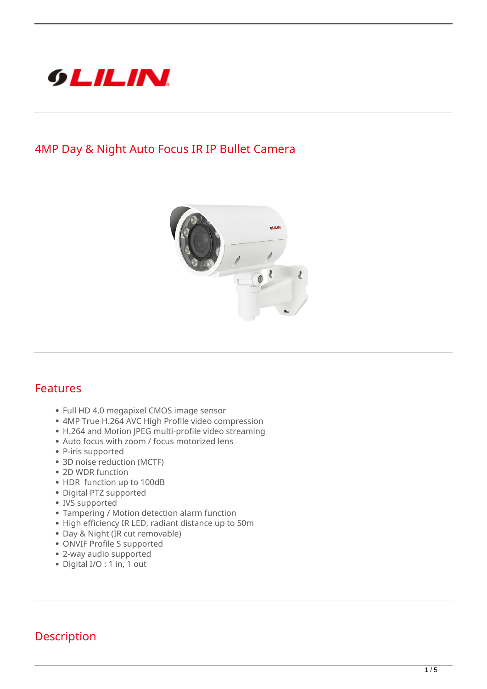

## **4MP Day & Night Auto Focus IR IP Bullet Camera**



## **Features**

- Full HD 4.0 megapixel CMOS image sensor
- 4MP True H.264 AVC High Profile video compression
- H.264 and Motion JPEG multi-profile video streaming
- Auto focus with zoom / focus motorized lens
- P-iris supported
- 3D noise reduction (MCTF)
- 2D WDR function
- HDR function up to 100dB
- Digital PTZ supported
- IVS supported
- Tampering / Motion detection alarm function
- High efficiency IR LED, radiant distance up to 50m
- Day & Night (IR cut removable)
- ONVIF Profile S supported
- 2-way audio supported
- Digital I/O : 1 in, 1 out

## **Description**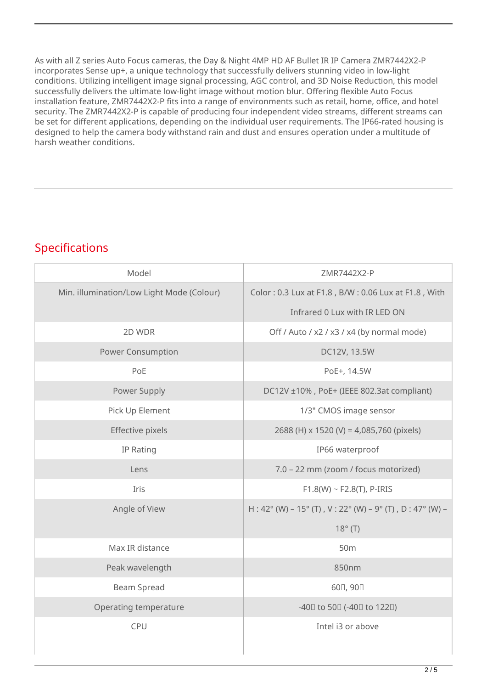As with all Z series Auto Focus cameras, the Day & Night 4MP HD AF Bullet IR IP Camera ZMR7442X2-P incorporates Sense up+, a unique technology that successfully delivers stunning video in low-light conditions. Utilizing intelligent image signal processing, AGC control, and 3D Noise Reduction, this model successfully delivers the ultimate low-light image without motion blur. Offering flexible Auto Focus installation feature, ZMR7442X2-P fits into a range of environments such as retail, home, office, and hotel security. The ZMR7442X2-P is capable of producing four independent video streams, different streams can be set for different applications, depending on the individual user requirements. The IP66-rated housing is designed to help the camera body withstand rain and dust and ensures operation under a multitude of harsh weather conditions.

## **Specifications**

| Model                                     | ZMR7442X2-P                                             |
|-------------------------------------------|---------------------------------------------------------|
| Min. illumination/Low Light Mode (Colour) | Color: 0.3 Lux at F1.8, B/W: 0.06 Lux at F1.8, With     |
|                                           | Infrared 0 Lux with IR LED ON                           |
| 2D WDR                                    | Off / Auto / x2 / x3 / x4 (by normal mode)              |
| <b>Power Consumption</b>                  | DC12V, 13.5W                                            |
| PoE                                       | PoE+, 14.5W                                             |
| Power Supply                              | DC12V ±10%, PoE+ (IEEE 802.3at compliant)               |
| Pick Up Element                           | 1/3" CMOS image sensor                                  |
| Effective pixels                          | 2688 (H) x 1520 (V) = 4,085,760 (pixels)                |
| IP Rating                                 | IP66 waterproof                                         |
| Lens                                      | 7.0 - 22 mm (zoom / focus motorized)                    |
| Iris                                      | $F1.8(W) \sim F2.8(T)$ , P-IRIS                         |
| Angle of View                             | H: 42° (W) – 15° (T), V: 22° (W) – 9° (T), D: 47° (W) – |
|                                           | $18^\circ$ (T)                                          |
| Max IR distance                           | 50 <sub>m</sub>                                         |
| Peak wavelength                           | 850nm                                                   |
| <b>Beam Spread</b>                        | 600, 900                                                |
| Operating temperature                     | -400 to 500 (-400 to 1220)                              |
| CPU                                       | Intel i3 or above                                       |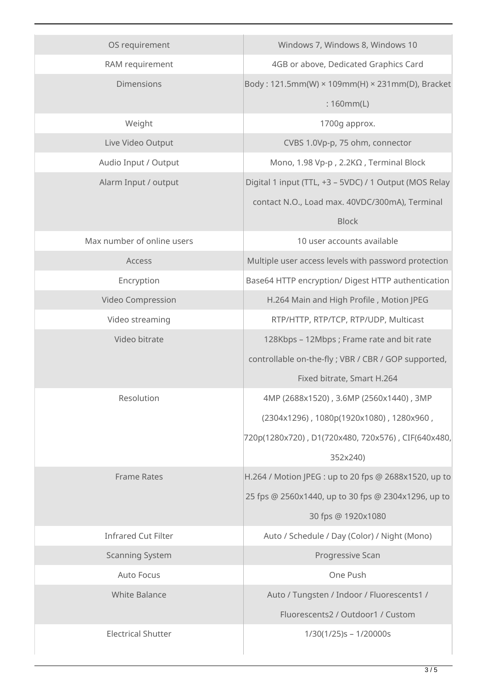| OS requirement             | Windows 7, Windows 8, Windows 10                       |
|----------------------------|--------------------------------------------------------|
| RAM requirement            | 4GB or above, Dedicated Graphics Card                  |
| <b>Dimensions</b>          | Body: 121.5mm(W) × 109mm(H) × 231mm(D), Bracket        |
|                            | :160mm(L)                                              |
| Weight                     | 1700g approx.                                          |
| Live Video Output          | CVBS 1.0Vp-p, 75 ohm, connector                        |
| Audio Input / Output       | Mono, 1.98 Vp-p, 2.2ΚΩ, Terminal Block                 |
| Alarm Input / output       | Digital 1 input (TTL, +3 - 5VDC) / 1 Output (MOS Relay |
|                            | contact N.O., Load max. 40VDC/300mA), Terminal         |
|                            | <b>Block</b>                                           |
| Max number of online users | 10 user accounts available                             |
| Access                     | Multiple user access levels with password protection   |
| Encryption                 | Base64 HTTP encryption/ Digest HTTP authentication     |
| Video Compression          | H.264 Main and High Profile, Motion JPEG               |
| Video streaming            | RTP/HTTP, RTP/TCP, RTP/UDP, Multicast                  |
| Video bitrate              | 128Kbps - 12Mbps; Frame rate and bit rate              |
|                            | controllable on-the-fly; VBR / CBR / GOP supported,    |
|                            | Fixed bitrate, Smart H.264                             |
| Resolution                 | 4MP (2688x1520), 3.6MP (2560x1440), 3MP                |
|                            | (2304x1296), 1080p(1920x1080), 1280x960,               |
|                            | 720p(1280x720), D1(720x480, 720x576), CIF(640x480,     |
|                            | 352x240)                                               |
| <b>Frame Rates</b>         | H.264 / Motion JPEG : up to 20 fps @ 2688x1520, up to  |
|                            | 25 fps @ 2560x1440, up to 30 fps @ 2304x1296, up to    |
|                            | 30 fps @ 1920x1080                                     |
| <b>Infrared Cut Filter</b> | Auto / Schedule / Day (Color) / Night (Mono)           |
| <b>Scanning System</b>     | Progressive Scan                                       |
| <b>Auto Focus</b>          | One Push                                               |
| <b>White Balance</b>       | Auto / Tungsten / Indoor / Fluorescents1 /             |
|                            | Fluorescents2 / Outdoor1 / Custom                      |
| <b>Electrical Shutter</b>  | $1/30(1/25)s - 1/20000s$                               |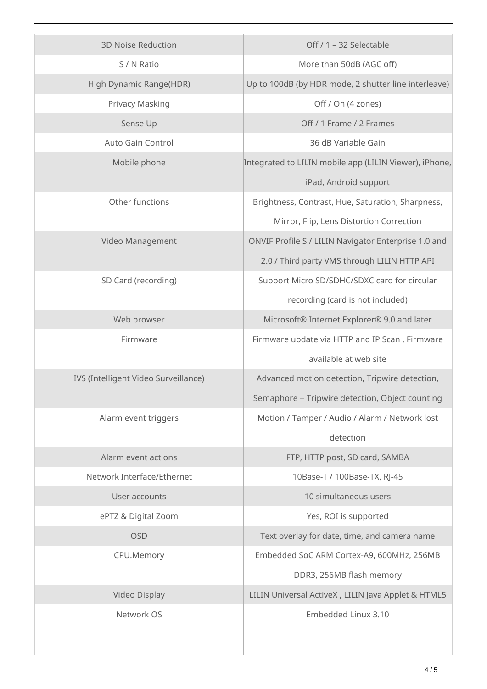| <b>3D Noise Reduction</b>            | Off / 1 - 32 Selectable                                |
|--------------------------------------|--------------------------------------------------------|
| S / N Ratio                          | More than 50dB (AGC off)                               |
| High Dynamic Range(HDR)              | Up to 100dB (by HDR mode, 2 shutter line interleave)   |
| Privacy Masking                      | Off / On (4 zones)                                     |
| Sense Up                             | Off / 1 Frame / 2 Frames                               |
| <b>Auto Gain Control</b>             | 36 dB Variable Gain                                    |
|                                      |                                                        |
| Mobile phone                         | Integrated to LILIN mobile app (LILIN Viewer), iPhone, |
|                                      | iPad, Android support                                  |
| Other functions                      | Brightness, Contrast, Hue, Saturation, Sharpness,      |
|                                      | Mirror, Flip, Lens Distortion Correction               |
| Video Management                     | ONVIF Profile S / LILIN Navigator Enterprise 1.0 and   |
|                                      | 2.0 / Third party VMS through LILIN HTTP API           |
| SD Card (recording)                  | Support Micro SD/SDHC/SDXC card for circular           |
|                                      | recording (card is not included)                       |
| Web browser                          | Microsoft® Internet Explorer® 9.0 and later            |
| Firmware                             | Firmware update via HTTP and IP Scan, Firmware         |
|                                      | available at web site                                  |
| IVS (Intelligent Video Surveillance) | Advanced motion detection, Tripwire detection,         |
|                                      | Semaphore + Tripwire detection, Object counting        |
| Alarm event triggers                 | Motion / Tamper / Audio / Alarm / Network lost         |
|                                      | detection                                              |
| Alarm event actions                  | FTP, HTTP post, SD card, SAMBA                         |
| Network Interface/Ethernet           | 10Base-T / 100Base-TX, RJ-45                           |
| User accounts                        | 10 simultaneous users                                  |
| ePTZ & Digital Zoom                  | Yes, ROI is supported                                  |
| <b>OSD</b>                           | Text overlay for date, time, and camera name           |
| CPU.Memory                           | Embedded SoC ARM Cortex-A9, 600MHz, 256MB              |
|                                      | DDR3, 256MB flash memory                               |
| Video Display                        | LILIN Universal ActiveX, LILIN Java Applet & HTML5     |
| Network OS                           | Embedded Linux 3.10                                    |
|                                      |                                                        |
|                                      |                                                        |